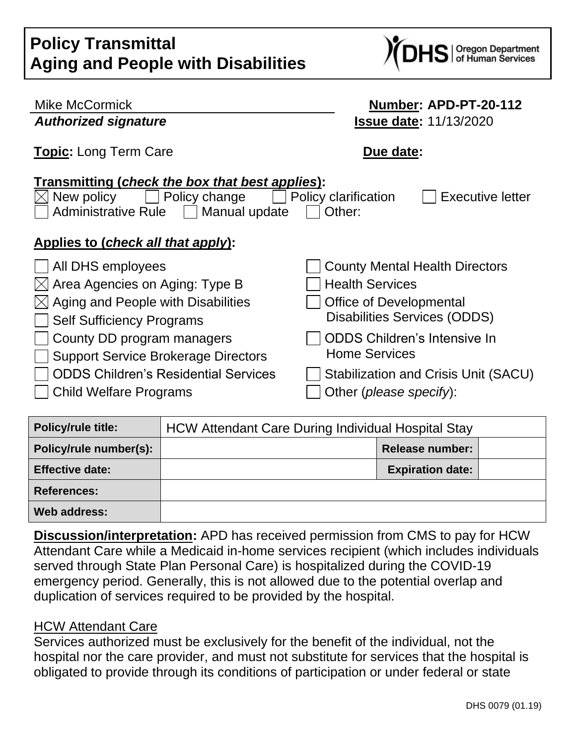| <b>Policy Transmittal</b>                 |
|-------------------------------------------|
| <b>Aging and People with Disabilities</b> |



| <b>Mike McCormick</b>                                                                                                                                                                      | Number: APD-PT-20-112                 |  |  |  |
|--------------------------------------------------------------------------------------------------------------------------------------------------------------------------------------------|---------------------------------------|--|--|--|
| <b>Authorized signature</b>                                                                                                                                                                | <b>Issue date: 11/13/2020</b>         |  |  |  |
| Topic: Long Term Care                                                                                                                                                                      | Due date:                             |  |  |  |
| Transmitting (check the box that best applies):<br>Policy change<br>Policy clarification<br><b>Executive letter</b><br>New policy<br><b>Administrative Rule</b><br>Manual update<br>Other: |                                       |  |  |  |
| Applies to (check all that apply):                                                                                                                                                         |                                       |  |  |  |
| All DHS employees                                                                                                                                                                          | <b>County Mental Health Directors</b> |  |  |  |
| $\boxtimes$ Area Agencies on Aging: Type B                                                                                                                                                 | <b>Health Services</b>                |  |  |  |
| Aging and People with Disabilities                                                                                                                                                         | <b>Office of Developmental</b>        |  |  |  |
| <b>Self Sufficiency Programs</b>                                                                                                                                                           | <b>Disabilities Services (ODDS)</b>   |  |  |  |
| County DD program managers                                                                                                                                                                 | <b>ODDS Children's Intensive In</b>   |  |  |  |
| <b>Support Service Brokerage Directors</b>                                                                                                                                                 | <b>Home Services</b>                  |  |  |  |
| <b>ODDS Children's Residential Services</b>                                                                                                                                                | Stabilization and Crisis Unit (SACU)  |  |  |  |
| Child Welfare Programs                                                                                                                                                                     | Other ( <i>please specify</i> ):      |  |  |  |

| <b>Policy/rule title:</b> | <b>HCW Attendant Care During Individual Hospital Stay</b> |                         |  |
|---------------------------|-----------------------------------------------------------|-------------------------|--|
| Policy/rule number(s):    |                                                           | <b>Release number:</b>  |  |
| <b>Effective date:</b>    |                                                           | <b>Expiration date:</b> |  |
| <b>References:</b>        |                                                           |                         |  |
| Web address:              |                                                           |                         |  |

**Discussion/interpretation:** APD has received permission from CMS to pay for HCW Attendant Care while a Medicaid in-home services recipient (which includes individuals served through State Plan Personal Care) is hospitalized during the COVID-19 emergency period. Generally, this is not allowed due to the potential overlap and duplication of services required to be provided by the hospital.

#### HCW Attendant Care

Services authorized must be exclusively for the benefit of the individual, not the hospital nor the care provider, and must not substitute for services that the hospital is obligated to provide through its conditions of participation or under federal or state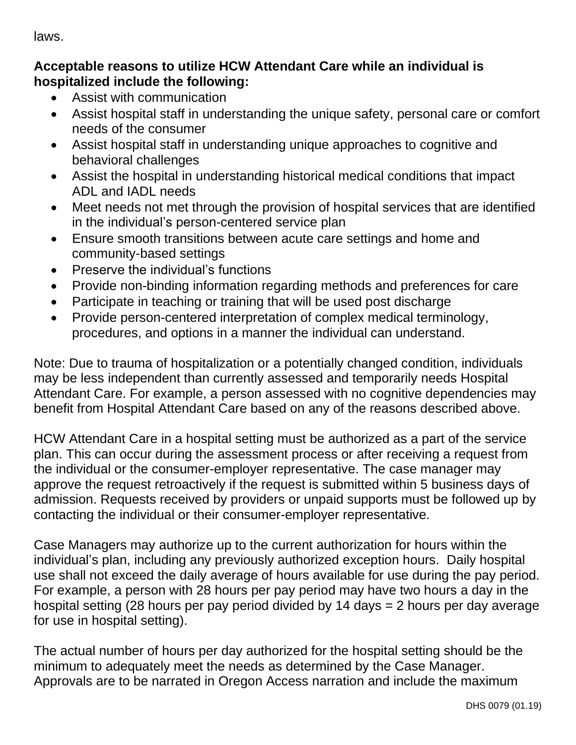laws.

# **Acceptable reasons to utilize HCW Attendant Care while an individual is hospitalized include the following:**

- Assist with communication
- Assist hospital staff in understanding the unique safety, personal care or comfort needs of the consumer
- Assist hospital staff in understanding unique approaches to cognitive and behavioral challenges
- Assist the hospital in understanding historical medical conditions that impact ADL and IADL needs
- Meet needs not met through the provision of hospital services that are identified in the individual's person-centered service plan
- Ensure smooth transitions between acute care settings and home and community-based settings
- Preserve the individual's functions
- Provide non-binding information regarding methods and preferences for care
- Participate in teaching or training that will be used post discharge
- Provide person-centered interpretation of complex medical terminology, procedures, and options in a manner the individual can understand.

Note: Due to trauma of hospitalization or a potentially changed condition, individuals may be less independent than currently assessed and temporarily needs Hospital Attendant Care. For example, a person assessed with no cognitive dependencies may benefit from Hospital Attendant Care based on any of the reasons described above.

HCW Attendant Care in a hospital setting must be authorized as a part of the service plan. This can occur during the assessment process or after receiving a request from the individual or the consumer-employer representative. The case manager may approve the request retroactively if the request is submitted within 5 business days of admission. Requests received by providers or unpaid supports must be followed up by contacting the individual or their consumer-employer representative.

Case Managers may authorize up to the current authorization for hours within the individual's plan, including any previously authorized exception hours. Daily hospital use shall not exceed the daily average of hours available for use during the pay period. For example, a person with 28 hours per pay period may have two hours a day in the hospital setting (28 hours per pay period divided by 14 days = 2 hours per day average for use in hospital setting).

The actual number of hours per day authorized for the hospital setting should be the minimum to adequately meet the needs as determined by the Case Manager. Approvals are to be narrated in Oregon Access narration and include the maximum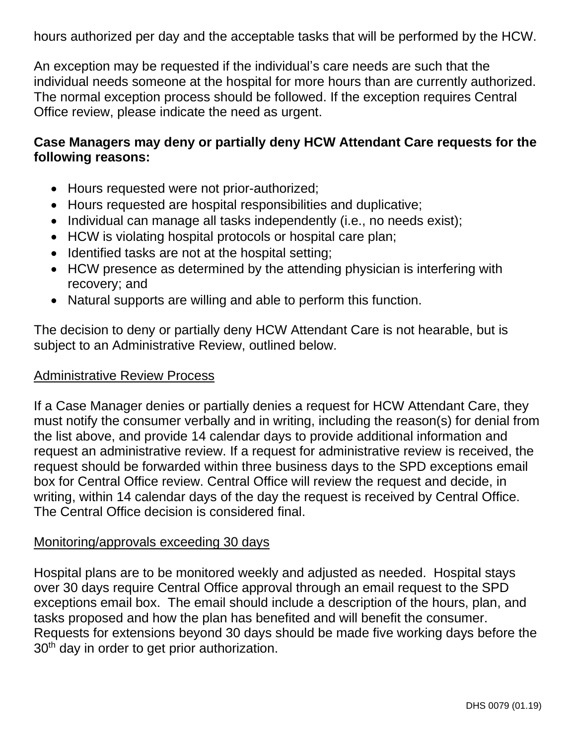hours authorized per day and the acceptable tasks that will be performed by the HCW.

An exception may be requested if the individual's care needs are such that the individual needs someone at the hospital for more hours than are currently authorized. The normal exception process should be followed. If the exception requires Central Office review, please indicate the need as urgent.

# **Case Managers may deny or partially deny HCW Attendant Care requests for the following reasons:**

- Hours requested were not prior-authorized;
- Hours requested are hospital responsibilities and duplicative;
- Individual can manage all tasks independently (i.e., no needs exist);
- HCW is violating hospital protocols or hospital care plan;
- Identified tasks are not at the hospital setting;
- HCW presence as determined by the attending physician is interfering with recovery; and
- Natural supports are willing and able to perform this function.

The decision to deny or partially deny HCW Attendant Care is not hearable, but is subject to an Administrative Review, outlined below.

### Administrative Review Process

If a Case Manager denies or partially denies a request for HCW Attendant Care, they must notify the consumer verbally and in writing, including the reason(s) for denial from the list above, and provide 14 calendar days to provide additional information and request an administrative review. If a request for administrative review is received, the request should be forwarded within three business days to the SPD exceptions email box for Central Office review. Central Office will review the request and decide, in writing, within 14 calendar days of the day the request is received by Central Office. The Central Office decision is considered final.

#### Monitoring/approvals exceeding 30 days

Hospital plans are to be monitored weekly and adjusted as needed. Hospital stays over 30 days require Central Office approval through an email request to the SPD exceptions email box. The email should include a description of the hours, plan, and tasks proposed and how the plan has benefited and will benefit the consumer. Requests for extensions beyond 30 days should be made five working days before the 30<sup>th</sup> day in order to get prior authorization.